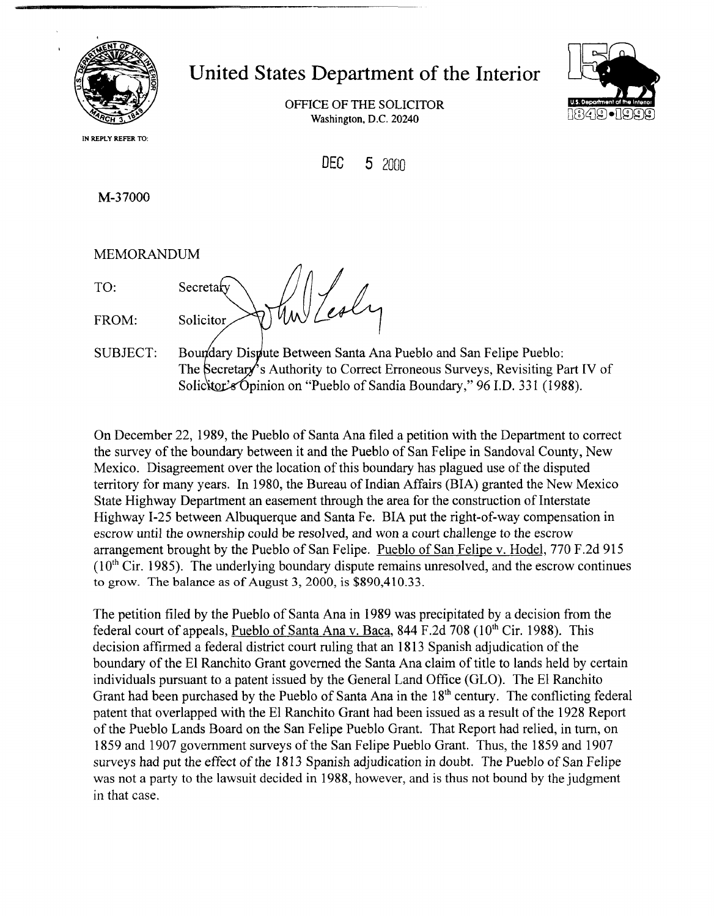

*8* 

## United States Department of the Interior

OFFICE OF THE SOLICITOR **Washington. D.C.** 20240



**IN REPLY REFER TO:** 

DEC **5** 2000

M-37000

MEMORANDUM

TO: MEMORANDUM<br>TO: Secretary Mw Lesly<br>FROM: Solicitor WW Lesly

SUBJECT: Boundary Dispute Between Santa Ana Pueblo and San Felipe Pueblo: The Secretary's Authority to Correct Erroneous Surveys, Revisiting Part IV of Solicitor's Opinion on "Pueblo of Sandia Boundary," 96 I.D. 331 (1988).

On December 22, 1989, the Pueblo of Santa Ana filed a petition with the Department to correct the survey of the boundary between it and the Pueblo of San Felipe in Sandoval County, New Mexico. Disagreement over the location of this boundary has plagued use of the disputed territory for many years. In 1980, the Bureau of Indian Affairs (BIA) granted the New Mexico State Highway Department an easement through the area for the construction of Interstate Highway 1-25 between Albuquerque and Santa Fe. BIA put the right-of-way compensation in escrow until the ownership could be resolved, and won a court challenge to the escrow arrangement brought by the Pueblo of San Felipe. Pueblo of San Felipe v. Hodel, 770 F.2d 915  $(10<sup>th</sup> Cir. 1985)$ . The underlying boundary dispute remains unresolved, and the escrow continues to grow. The balance as of August 3, 2000, is \$890,410.33.

The petition filed by the Pueblo of Santa Ana in 1989 was precipitated by a decision from the federal court of appeals, Pueblo of Santa Ana v. Baca, 844 F.2d 708 ( $10^{th}$  Cir. 1988). This decision affirmed a federal district court ruling that an 18 13 Spanish adjudication of the boundary of the El Ranchito Grant governed the Santa Ana claim of title to lands held by certain individuals pursuant to a patent issued by the General Land Office (GLO). The El Ranchito Grant had been purchased by the Pueblo of Santa Ana in the  $18<sup>th</sup>$  century. The conflicting federal patent that overlapped with the El Ranchito Grant had been issued as a result of the 1928 Report of the Pueblo Lands Board on the San Felipe Pueblo Grant. That Report had relied, in turn, on 1859 and 1907 government surveys of the San Felipe Pueblo Grant. Thus, the 1859 and 1907 surveys had put the effect of the 1813 Spanish adjudication in doubt. The Pueblo of San Felipe was not a party to the lawsuit decided in 1988, however, and is thus not bound by the judgment in that case.